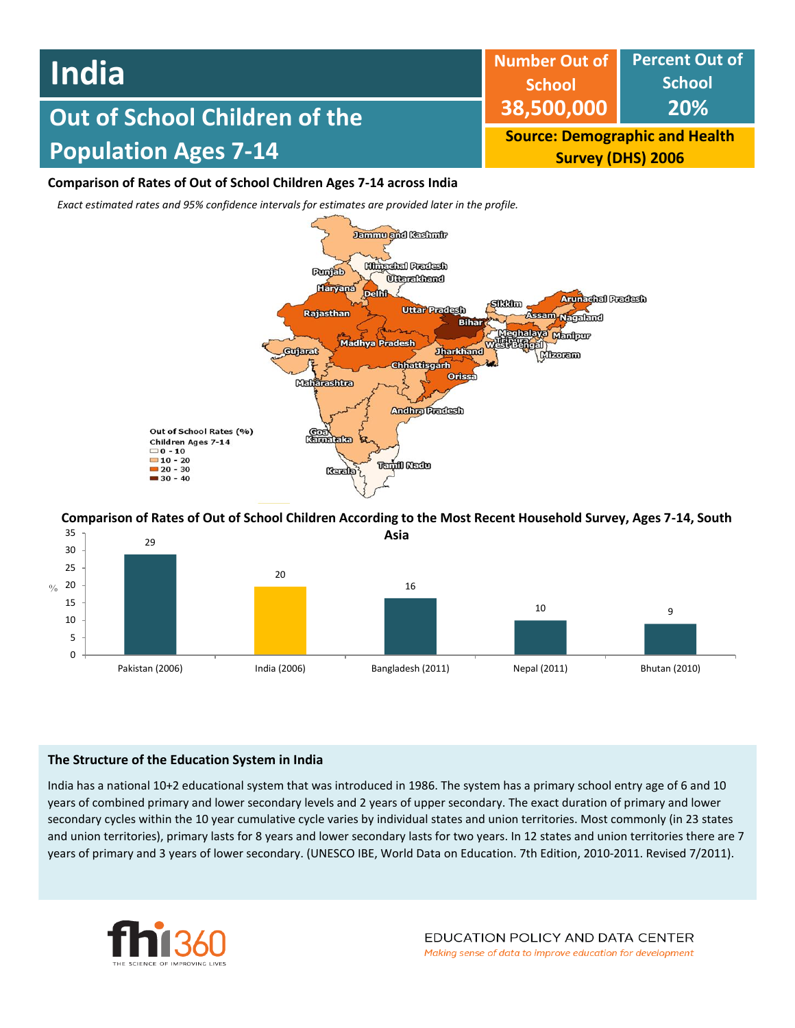

### **Comparison of Rates of Out of School Children Ages 7-14 across India**

*Exact estimated rates and 95% confidence intervals for estimates are provided later in the profile.* 



#### 35 **Comparison of Rates of Out of School Children According to the Most Recent Household Survey, Ages 7-14, South**



## **The Structure of the Education System in India**

India has a national 10+2 educational system that was introduced in 1986. The system has a primary school entry age of 6 and 10 years of combined primary and lower secondary levels and 2 years of upper secondary. The exact duration of primary and lower secondary cycles within the 10 year cumulative cycle varies by individual states and union territories. Most commonly (in 23 states and union territories), primary lasts for 8 years and lower secondary lasts for two years. In 12 states and union territories there are 7 years of primary and 3 years of lower secondary. (UNESCO IBE, World Data on Education. 7th Edition, 2010-2011. Revised 7/2011).

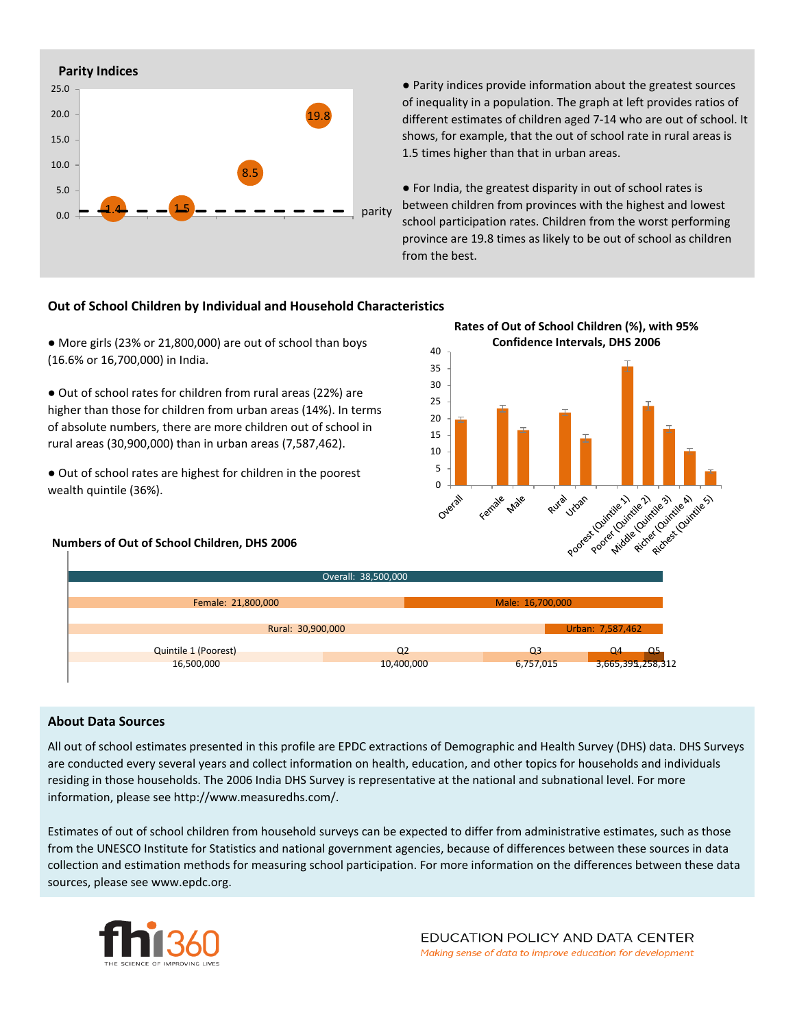

● Parity indices provide information about the greatest sources of inequality in a population. The graph at left provides ratios of different estimates of children aged 7-14 who are out of school. It shows, for example, that the out of school rate in rural areas is 1.5 times higher than that in urban areas.

● For India, the greatest disparity in out of school rates is between children from provinces with the highest and lowest school participation rates. Children from the worst performing province are 19.8 times as likely to be out of school as children from the best.

### **Out of School Children by Individual and Household Characteristics**

● More girls (23% or 21,800,000) are out of school than boys (16.6% or 16,700,000) in India.

● Out of school rates for children from rural areas (22%) are higher than those for children from urban areas (14%). In terms of absolute numbers, there are more children out of school in rural areas (30,900,000) than in urban areas (7,587,462).

● Out of school rates are highest for children in the poorest wealth quintile (36%).

#### **Numbers of Out of School Children, DHS 2006**



| Overall: 38,500,000                |                              |                  |                               |  |  |  |  |  |  |
|------------------------------------|------------------------------|------------------|-------------------------------|--|--|--|--|--|--|
| Female: 21,800,000                 |                              | Male: 16,700,000 |                               |  |  |  |  |  |  |
| Rural: 30,900,000                  |                              | Urban: 7,587,462 |                               |  |  |  |  |  |  |
| Quintile 1 (Poorest)<br>16,500,000 | Q <sub>2</sub><br>10,400,000 | Q3<br>6,757,015  | Q5<br>Ο4<br>3,665,395,258,312 |  |  |  |  |  |  |

#### **About Data Sources**

All out of school estimates presented in this profile are EPDC extractions of Demographic and Health Survey (DHS) data. DHS Surveys are conducted every several years and collect information on health, education, and other topics for households and individuals residing in those households. The 2006 India DHS Survey is representative at the national and subnational level. For more information, please see http://www.measuredhs.com/.

Estimates of out of school children from household surveys can be expected to differ from administrative estimates, such as those from the UNESCO Institute for Statistics and national government agencies, because of differences between these sources in data collection and estimation methods for measuring school participation. For more information on the differences between these data sources, please see www.epdc.org.

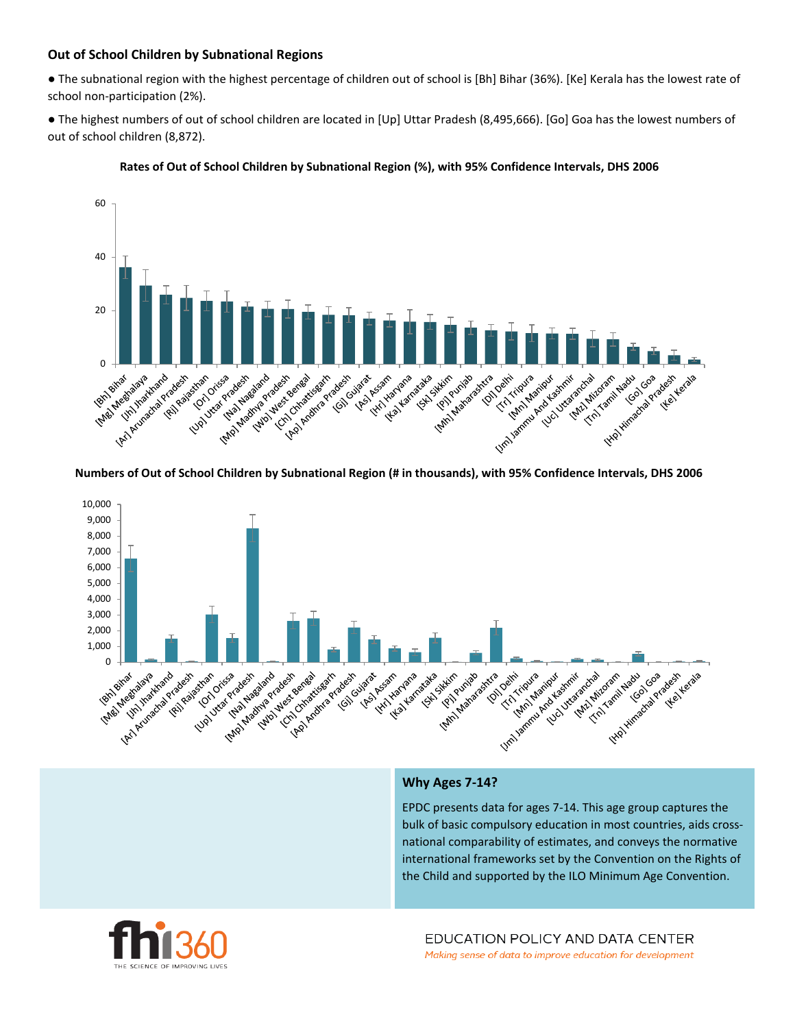## **Out of School Children by Subnational Regions**

● The subnational region with the highest percentage of children out of school is [Bh] Bihar (36%). [Ke] Kerala has the lowest rate of school non-participation (2%).

● The highest numbers of out of school children are located in [Up] Uttar Pradesh (8,495,666). [Go] Goa has the lowest numbers of out of school children (8,872).





**Numbers of Out of School Children by Subnational Region (# in thousands), with 95% Confidence Intervals, DHS 2006**



## **Why Ages 7-14?**

EPDC presents data for ages 7-14. This age group captures the bulk of basic compulsory education in most countries, aids crossnational comparability of estimates, and conveys the normative international frameworks set by the Convention on the Rights of the Child and supported by the ILO Minimum Age Convention.

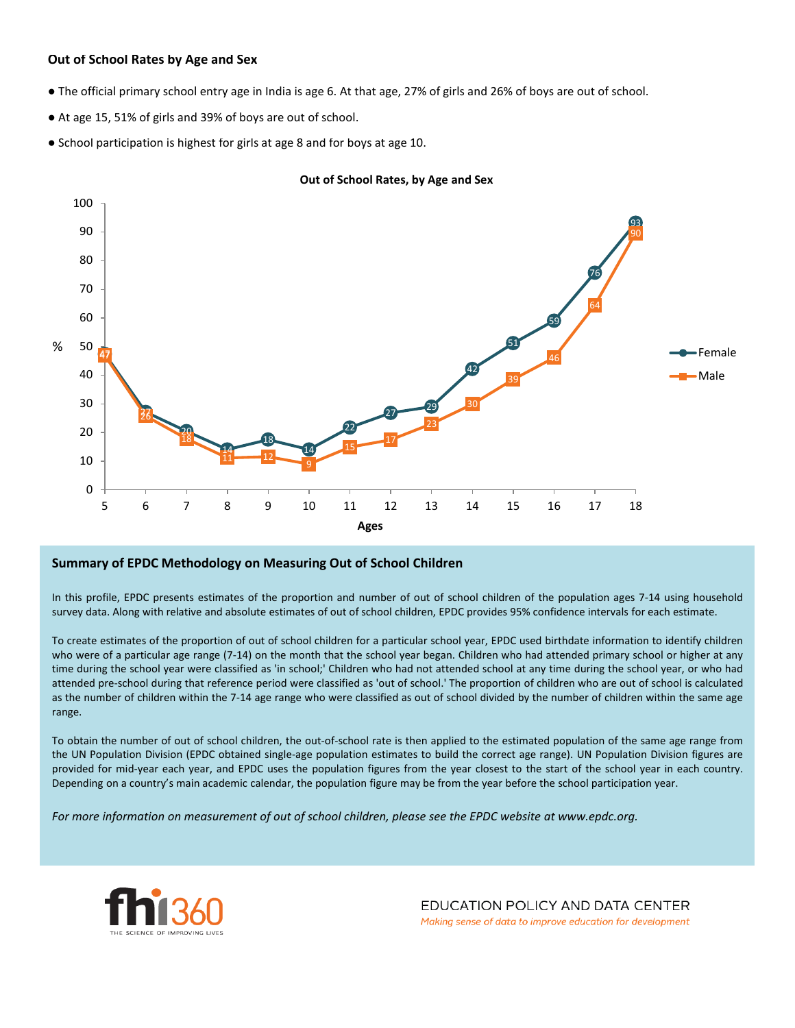### **Out of School Rates by Age and Sex**

- The official primary school entry age in India is age 6. At that age, 27% of girls and 26% of boys are out of school.
- At age 15, 51% of girls and 39% of boys are out of school.
- School participation is highest for girls at age 8 and for boys at age 10.



#### **Out of School Rates, by Age and Sex**

#### **Summary of EPDC Methodology on Measuring Out of School Children**

In this profile, EPDC presents estimates of the proportion and number of out of school children of the population ages 7-14 using household survey data. Along with relative and absolute estimates of out of school children, EPDC provides 95% confidence intervals for each estimate.

To create estimates of the proportion of out of school children for a particular school year, EPDC used birthdate information to identify children who were of a particular age range (7-14) on the month that the school year began. Children who had attended primary school or higher at any time during the school year were classified as 'in school;' Children who had not attended school at any time during the school year, or who had attended pre-school during that reference period were classified as 'out of school.' The proportion of children who are out of school is calculated as the number of children within the 7-14 age range who were classified as out of school divided by the number of children within the same age range.

To obtain the number of out of school children, the out-of-school rate is then applied to the estimated population of the same age range from the UN Population Division (EPDC obtained single-age population estimates to build the correct age range). UN Population Division figures are provided for mid-year each year, and EPDC uses the population figures from the year closest to the start of the school year in each country. Depending on a country's main academic calendar, the population figure may be from the year before the school participation year.

For more information on measurement of out of school children, please see the EPDC website at www.epdc.org.



EDUCATION POLICY AND DATA CENTER Making sense of data to improve education for development